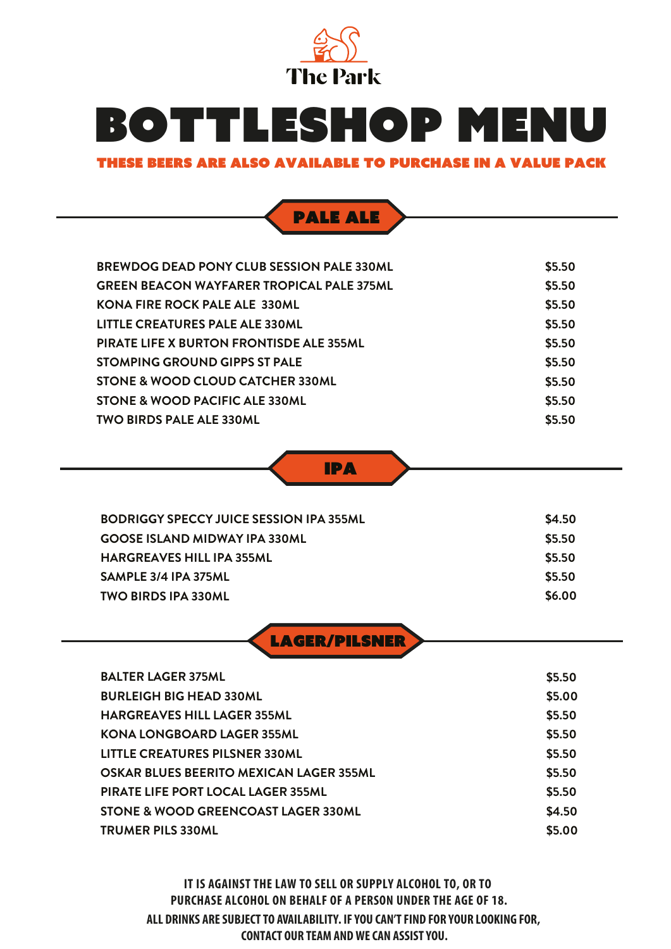

### THESE BEERS ARE ALSO AVAILABLE TO PURCHASE IN A VALUE PACK

### pale ALE

| <b>BREWDOG DEAD PONY CLUB SESSION PALE 330ML</b> | \$5.50 |
|--------------------------------------------------|--------|
| <b>GREEN BEACON WAYFARER TROPICAL PALE 375ML</b> | \$5.50 |
| <b>KONA FIRE ROCK PALE ALE 330ML</b>             | \$5.50 |
| LITTLE CREATURES PALE ALE 330ML                  | \$5.50 |
| <b>PIRATE LIFE X BURTON FRONTISDE ALE 355ML</b>  | \$5.50 |
| STOMPING GROUND GIPPS ST PALE                    | \$5.50 |
| STONE & WOOD CLOUD CATCHER 330ML                 | \$5.50 |
| STONE & WOOD PACIFIC ALE 330ML                   | \$5.50 |
| <b>TWO BIRDS PALE ALE 330ML</b>                  | \$5.50 |



| BODRIGGY SPECCY JUICE SESSION IPA 355ML | \$4.50 |
|-----------------------------------------|--------|
| <b>GOOSE ISLAND MIDWAY IPA 330ML</b>    | \$5.50 |
| <b>HARGREAVES HILL IPA 355ML</b>        | \$5.50 |
| SAMPLE 3/4 IPA 375ML                    | \$5.50 |
| <b>TWO BIRDS IPA 330ML</b>              | \$6.00 |
|                                         |        |

LAGER/PILSNER

| <b>BALTER LAGER 375ML</b>                 | \$5.50 |
|-------------------------------------------|--------|
| <b>BURLEIGH BIG HEAD 330ML</b>            | \$5.00 |
| <b>HARGREAVES HILL LAGER 355ML</b>        | \$5.50 |
| <b>KONA LONGBOARD LAGER 355ML</b>         | \$5.50 |
| LITTLE CREATURES PILSNER 330ML            | \$5.50 |
| OSKAR BLUES BEERITO MEXICAN LAGER 355ML   | \$5.50 |
| <b>PIRATE LIFE PORT LOCAL LAGER 355ML</b> | \$5.50 |
| STONE & WOOD GREENCOAST LAGER 330ML       | \$4.50 |
| <b>TRUMER PILS 330ML</b>                  | \$5.00 |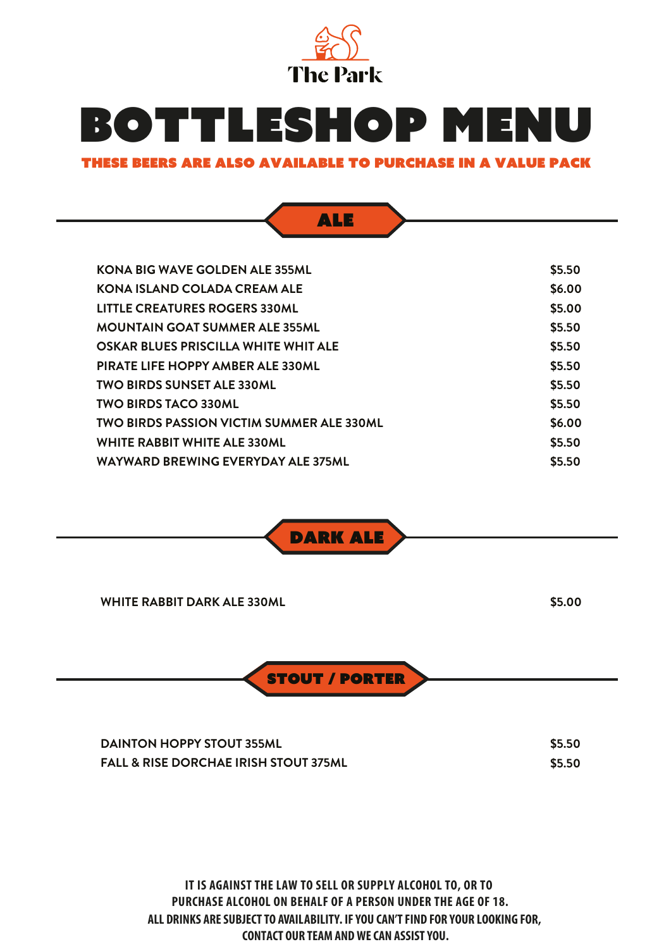

### THESE BEERS ARE ALSO AVAILABLE TO PURCHASE IN A VALUE PACK

ALE

| KONA BIG WAVE GOLDEN ALE 355ML                   | \$5.50 |
|--------------------------------------------------|--------|
| KONA ISLAND COLADA CREAM ALE                     | \$6.00 |
| LITTLE CREATURES ROGERS 330ML                    | \$5.00 |
| <b>MOUNTAIN GOAT SUMMER ALE 355ML</b>            | \$5.50 |
| OSKAR BLUES PRISCILLA WHITE WHIT ALE             | \$5.50 |
| PIRATE LIFE HOPPY AMBER ALE 330ML                | \$5.50 |
| <b>TWO BIRDS SUNSET ALE 330ML</b>                | \$5.50 |
| <b>TWO BIRDS TACO 330ML</b>                      | \$5.50 |
| <b>TWO BIRDS PASSION VICTIM SUMMER ALE 330ML</b> | \$6.00 |
| <b>WHITE RABBIT WHITE ALE 330ML</b>              | \$5.50 |
| WAYWARD BREWING EVERYDAY ALE 375ML               | \$5.50 |
|                                                  |        |



| <b>WHITE RABBIT DARK ALE 330ML</b> | \$5.00 |
|------------------------------------|--------|
| <b>STOUT / PORTER</b>              |        |

| <b>DAINTON HOPPY STOUT 355ML</b>                 | \$5.50 |
|--------------------------------------------------|--------|
| <b>FALL &amp; RISE DORCHAE IRISH STOUT 375ML</b> | \$5.50 |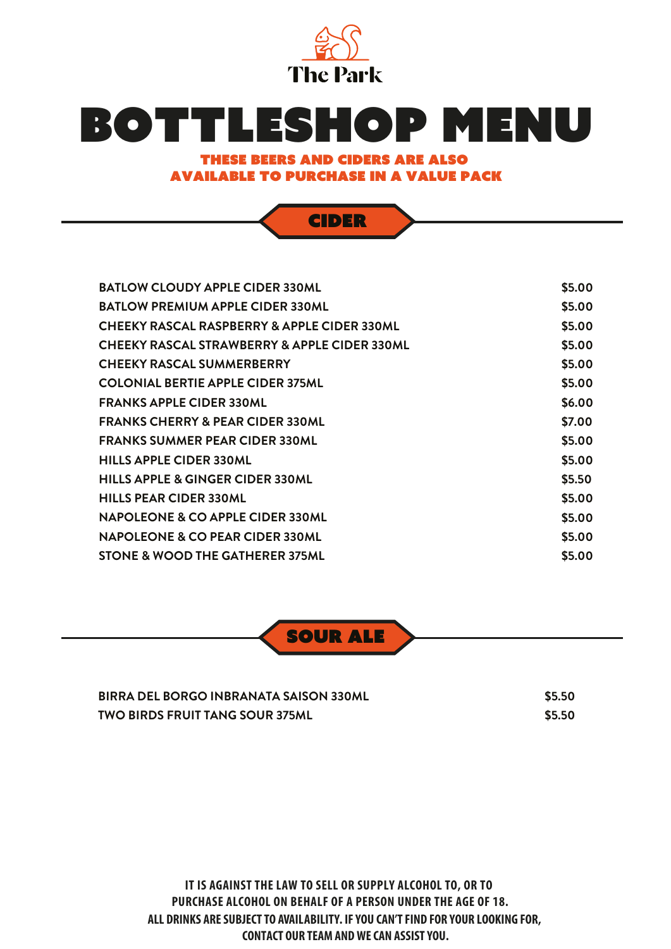

### THESE BEERS and ciders ARE ALSO AVAILABLE TO PURCHASE IN A VALUE PACK

CIDER

**BATLOW CLOUDY APPLE CIDER 330ML BATLOW PREMIUM APPLE CIDER 330ML CHEEKY RASCAL RASPBERRY & APPLE CIDER 330ML CHEEKY RASCAL STRAWBERRY & APPLE CIDER 330ML**

**\$5.00 \$5.00 \$5.00 \$5.00**

| <b>CHEEKY RASCAL SUMMERBERRY</b>            | \$5.00 |
|---------------------------------------------|--------|
| <b>COLONIAL BERTIE APPLE CIDER 375ML</b>    | \$5.00 |
| <b>FRANKS APPLE CIDER 330ML</b>             | \$6.00 |
| <b>FRANKS CHERRY &amp; PEAR CIDER 330ML</b> | \$7.00 |
| <b>FRANKS SUMMER PEAR CIDER 330ML</b>       | \$5.00 |
| <b>HILLS APPLE CIDER 330ML</b>              | \$5.00 |
| <b>HILLS APPLE &amp; GINGER CIDER 330ML</b> | \$5.50 |
| <b>HILLS PEAR CIDER 330ML</b>               | \$5.00 |
| NAPOLEONE & CO APPLE CIDER 330ML            | \$5.00 |
| NAPOLEONE & CO PEAR CIDER 330ML             | \$5.00 |
| STONE & WOOD THE GATHERER 375ML             | \$5.00 |



| BIRRA DEL BORGO INBRANATA SAISON 330ML | \$5.50 |
|----------------------------------------|--------|
| <b>TWO BIRDS FRUIT TANG SOUR 375ML</b> | \$5.50 |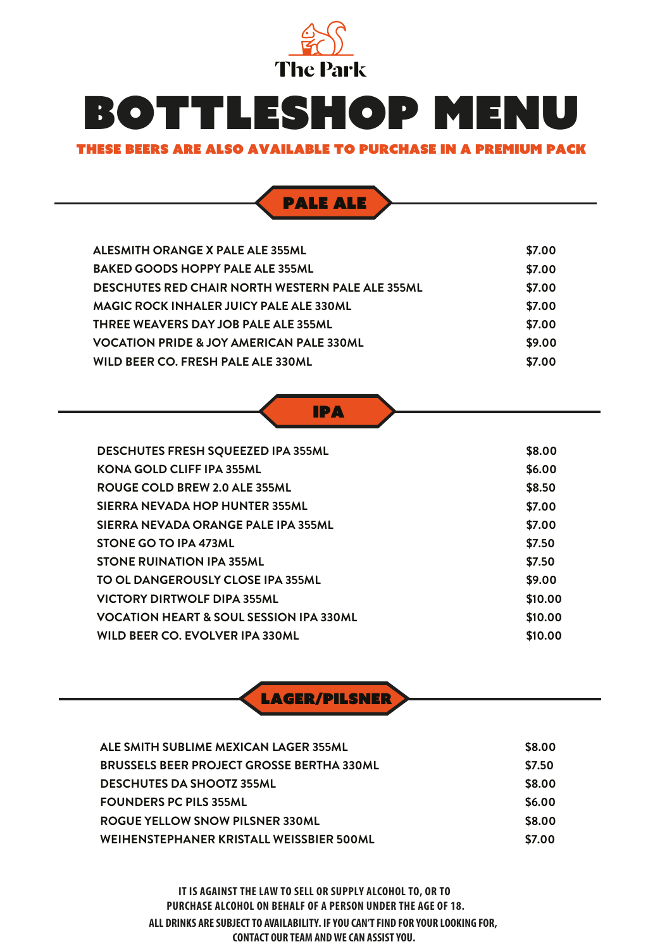

#### THESE BEERS ARE ALSO AVAILABLE TO PURCHASE IN A premium PACK



| ALESMITH ORANGE X PALE ALE 355ML                        | \$7.00 |
|---------------------------------------------------------|--------|
| <b>BAKED GOODS HOPPY PALE ALE 355ML</b>                 | \$7.00 |
| <b>DESCHUTES RED CHAIR NORTH WESTERN PALE ALE 355ML</b> | \$7.00 |
| <b>MAGIC ROCK INHALER JUICY PALE ALE 330ML</b>          | \$7.00 |
| THREE WEAVERS DAY JOB PALE ALE 355ML                    | \$7.00 |
| <b>VOCATION PRIDE &amp; JOY AMERICAN PALE 330ML</b>     | \$9.00 |
| WILD BEER CO. FRESH PALE ALE 330ML                      | \$7.00 |

IPA

| <b>DESCHUTES FRESH SQUEEZED IPA 355ML</b>          | \$8.00  |
|----------------------------------------------------|---------|
| <b>KONA GOLD CLIFF IPA 355ML</b>                   | \$6.00  |
| ROUGE COLD BREW 2.0 ALE 355ML                      | \$8.50  |
| SIERRA NEVADA HOP HUNTER 355ML                     | \$7.00  |
| SIERRA NEVADA ORANGE PALE IPA 355ML                | \$7.00  |
| STONE GO TO IPA 473ML                              | \$7.50  |
| <b>STONE RUINATION IPA 355ML</b>                   | \$7.50  |
| TO OL DANGEROUSLY CLOSE IPA 355ML                  | \$9.00  |
| <b>VICTORY DIRTWOLF DIPA 355ML</b>                 | \$10.00 |
| <b>VOCATION HEART &amp; SOUL SESSION IPA 330ML</b> | \$10.00 |
| WILD BEER CO. EVOLVER IPA 330ML                    | \$10.00 |

LAGER/PILSNER

| ALE SMITH SUBLIME MEXICAN LAGER 355ML            | \$8.00 |
|--------------------------------------------------|--------|
| <b>BRUSSELS BEER PROJECT GROSSE BERTHA 330ML</b> | \$7.50 |
| <b>DESCHUTES DA SHOOTZ 355ML</b>                 | \$8.00 |
| <b>FOUNDERS PC PILS 355ML</b>                    | \$6.00 |
| <b>ROGUE YELLOW SNOW PILSNER 330ML</b>           | \$8.00 |
| WEIHENSTEPHANER KRISTALL WEISSBIER 500ML         | \$7.00 |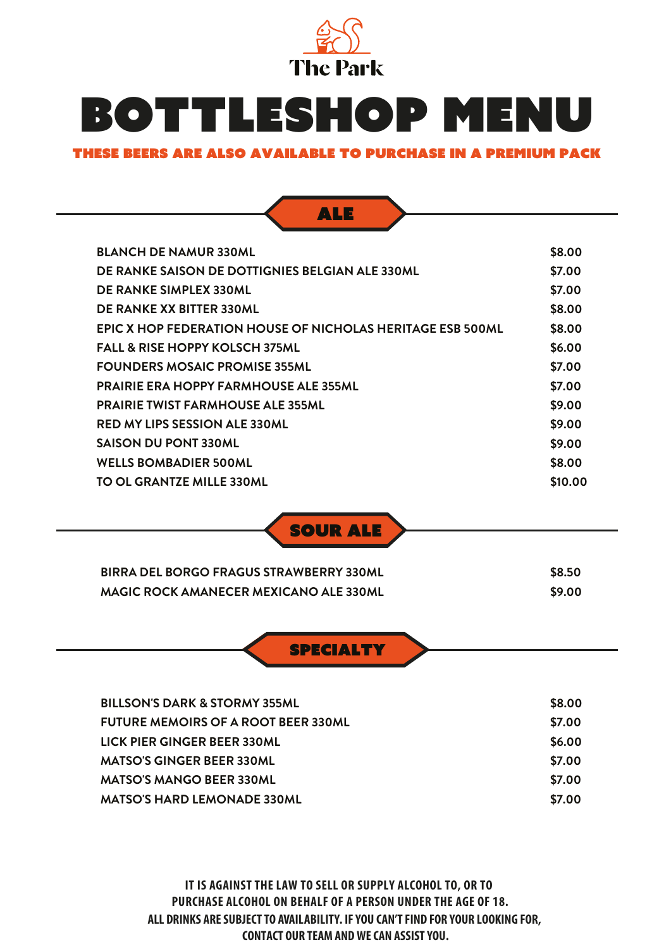

### THESE BEERS ARE ALSO AVAILABLE TO PURCHASE IN A premium PACK



| \$8.00  |
|---------|
| \$7.00  |
| \$7.00  |
| \$8.00  |
| \$8.00  |
| \$6.00  |
| \$7.00  |
| \$7.00  |
| \$9.00  |
| \$9.00  |
| \$9.00  |
| \$8.00  |
| \$10.00 |
|         |

SOUR ALE

| <b>BIRRA DEL BORGO FRAGUS STRAWBERRY 330ML</b> | \$8.50 |
|------------------------------------------------|--------|
| <b>MAGIC ROCK AMANECER MEXICANO ALE 330ML</b>  | \$9.00 |

**SPECIALTY** 

| <b>BILLSON'S DARK &amp; STORMY 355ML</b>   | \$8.00 |
|--------------------------------------------|--------|
| <b>FUTURE MEMOIRS OF A ROOT BEER 330ML</b> | \$7.00 |
| LICK PIER GINGER BEER 330ML                | \$6.00 |
| <b>MATSO'S GINGER BEER 330ML</b>           | \$7.00 |
| <b>MATSO'S MANGO BEER 330ML</b>            | \$7.00 |
| <b>MATSO'S HARD LEMONADE 330ML</b>         | \$7.00 |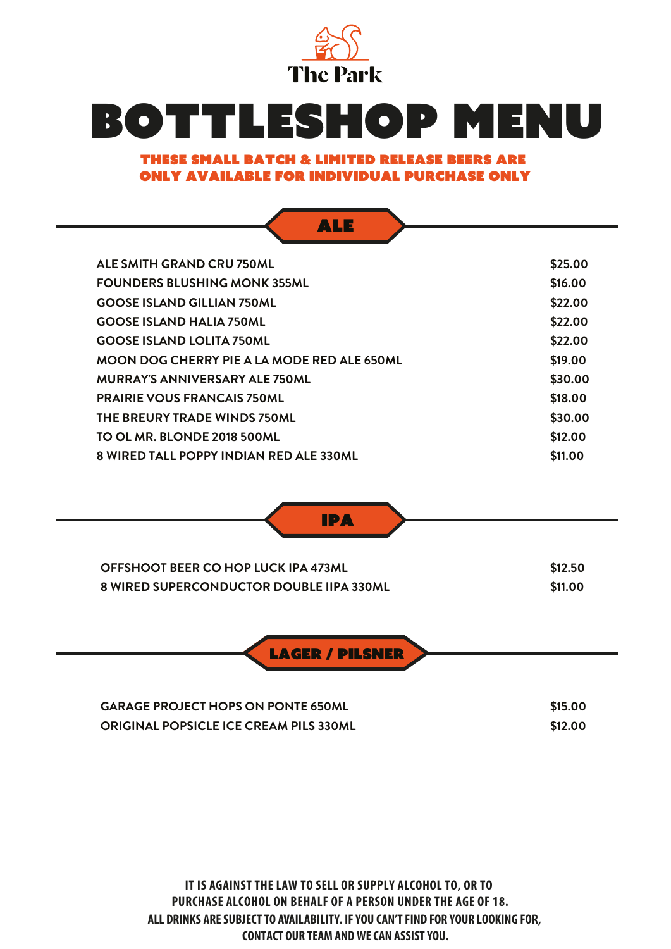

### THESE small batch & limited release BEERS ARE only AVAILABLE for individual purchase only

| <b>ALE SMITH GRAND CRU 750ML</b>                                                       | \$25.00            |
|----------------------------------------------------------------------------------------|--------------------|
| <b>FOUNDERS BLUSHING MONK 355ML</b>                                                    | \$16.00            |
| <b>GOOSE ISLAND GILLIAN 750ML</b>                                                      | \$22.00            |
| <b>GOOSE ISLAND HALIA 750ML</b>                                                        | \$22.00            |
| <b>GOOSE ISLAND LOLITA 750ML</b>                                                       | \$22.00            |
| <b>MOON DOG CHERRY PIE A LA MODE RED ALE 650ML</b>                                     | \$19.00            |
| <b>MURRAY'S ANNIVERSARY ALE 750ML</b>                                                  | \$30.00            |
| <b>PRAIRIE VOUS FRANCAIS 750ML</b>                                                     | \$18.00            |
| THE BREURY TRADE WINDS 750ML                                                           | \$30.00            |
| TO OL MR. BLONDE 2018 500ML                                                            | \$12.00            |
| 8 WIRED TALL POPPY INDIAN RED ALE 330ML                                                | \$11.00            |
|                                                                                        |                    |
| <b>IPA</b>                                                                             |                    |
| OFFSHOOT BEER CO HOP LUCK IPA 473ML<br><b>8 WIRED SUPERCONDUCTOR DOUBLE IIPA 330ML</b> | \$12.50<br>\$11.00 |

| <b>GARAGE PROJECT HOPS ON PONTE 650ML</b>     | \$15.00 |
|-----------------------------------------------|---------|
| <b>ORIGINAL POPSICLE ICE CREAM PILS 330ML</b> | \$12.00 |